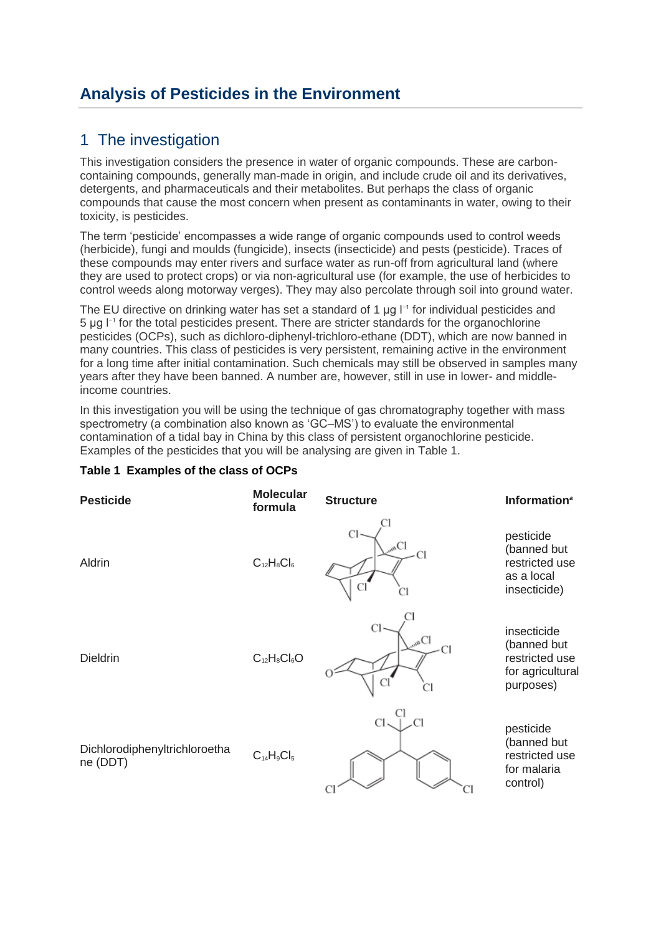# **Analysis of Pesticides in the Environment**

# 1 The investigation

This investigation considers the presence in water of organic compounds. These are carboncontaining compounds, generally man-made in origin, and include crude oil and its derivatives, detergents, and pharmaceuticals and their metabolites. But perhaps the class of organic compounds that cause the most concern when present as contaminants in water, owing to their toxicity, is pesticides.

The term 'pesticide' encompasses a wide range of organic compounds used to control weeds (herbicide), fungi and moulds (fungicide), insects (insecticide) and pests (pesticide). Traces of these compounds may enter rivers and surface water as run-off from agricultural land (where they are used to protect crops) or via non-agricultural use (for example, the use of herbicides to control weeds along motorway verges). They may also percolate through soil into ground water.

The EU directive on drinking water has set a standard of 1  $\mu$ g  $I^{-1}$  for individual pesticides and 5 μg I<sup>-1</sup> for the total pesticides present. There are stricter standards for the organochlorine pesticides (OCPs), such as dichloro-diphenyl-trichloro-ethane (DDT), which are now banned in many countries. This class of pesticides is very persistent, remaining active in the environment for a long time after initial contamination. Such chemicals may still be observed in samples many years after they have been banned. A number are, however, still in use in lower- and middleincome countries.

In this investigation you will be using the technique of gas chromatography together with mass spectrometry (a combination also known as 'GC–MS') to evaluate the environmental contamination of a tidal bay in China by this class of persistent organochlorine pesticide. Examples of the pesticides that you will be analysing are given in Table 1.



### **Table 1 Examples of the class of OCPs**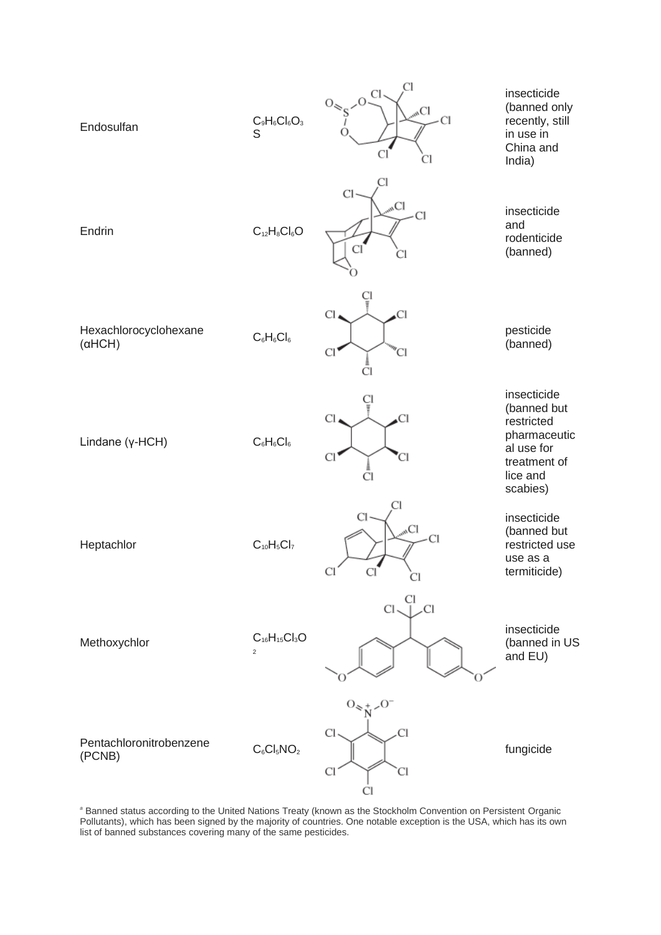

*<sup>a</sup>* Banned status according to the United Nations Treaty (known as the Stockholm Convention on Persistent Organic Pollutants), which has been signed by the majority of countries. One notable exception is the USA, which has its own list of banned substances covering many of the same pesticides.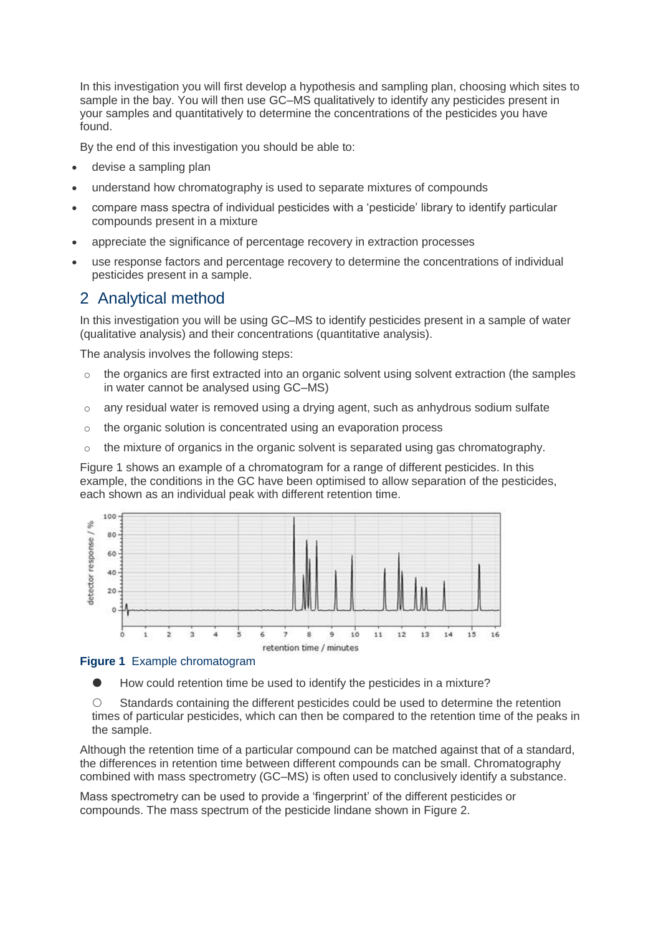In this investigation you will first develop a hypothesis and sampling plan, choosing which sites to sample in the bay. You will then use GC–MS qualitatively to identify any pesticides present in your samples and quantitatively to determine the concentrations of the pesticides you have found.

By the end of this investigation you should be able to:

- devise a sampling plan
- understand how chromatography is used to separate mixtures of compounds
- compare mass spectra of individual pesticides with a 'pesticide' library to identify particular compounds present in a mixture
- appreciate the significance of percentage recovery in extraction processes
- use response factors and percentage recovery to determine the concentrations of individual pesticides present in a sample.

# 2 Analytical method

In this investigation you will be using GC–MS to identify pesticides present in a sample of water (qualitative analysis) and their concentrations (quantitative analysis).

The analysis involves the following steps:

- $\circ$  the organics are first extracted into an organic solvent using solvent extraction (the samples in water cannot be analysed using GC–MS)
- $\circ$  any residual water is removed using a drying agent, such as anhydrous sodium sulfate
- o the organic solution is concentrated using an evaporation process
- $\circ$  the mixture of organics in the organic solvent is separated using gas chromatography.

Figure 1 shows an example of a chromatogram for a range of different pesticides. In this example, the conditions in the GC have been optimised to allow separation of the pesticides, each shown as an individual peak with different retention time.



#### **Figure 1** Example chromatogram

How could retention time be used to identify the pesticides in a mixture?

 $\circ$  Standards containing the different pesticides could be used to determine the retention times of particular pesticides, which can then be compared to the retention time of the peaks in the sample.

Although the retention time of a particular compound can be matched against that of a standard, the differences in retention time between different compounds can be small. Chromatography combined with mass spectrometry (GC–MS) is often used to conclusively identify a substance.

Mass spectrometry can be used to provide a 'fingerprint' of the different pesticides or compounds. The mass spectrum of the pesticide lindane shown in Figure 2.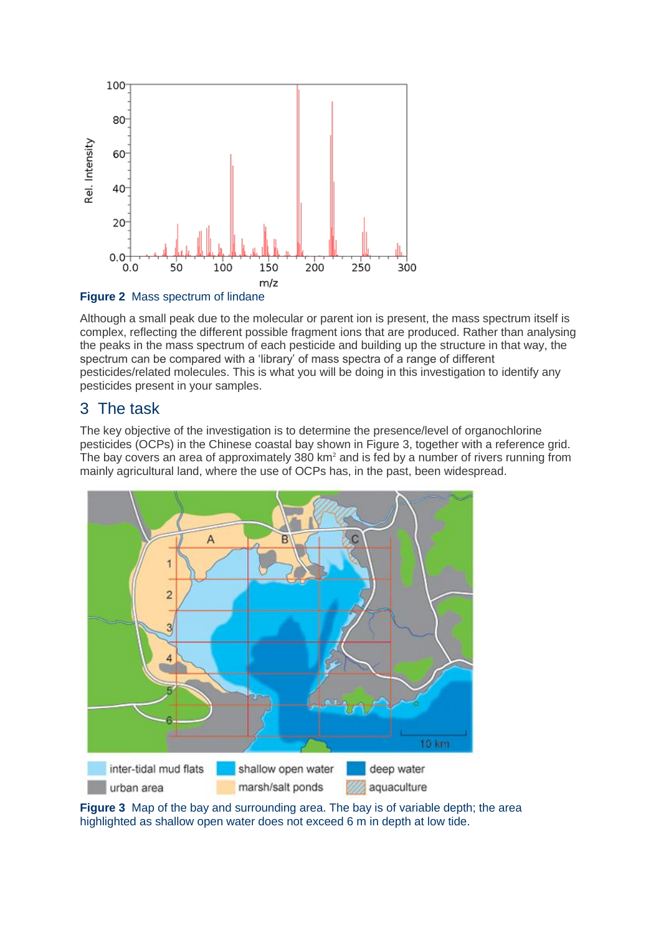

#### **Figure 2** Mass spectrum of lindane

Although a small peak due to the molecular or parent ion is present, the mass spectrum itself is complex, reflecting the different possible fragment ions that are produced. Rather than analysing the peaks in the mass spectrum of each pesticide and building up the structure in that way, the spectrum can be compared with a 'library' of mass spectra of a range of different pesticides/related molecules. This is what you will be doing in this investigation to identify any pesticides present in your samples.

# 3 The task

The key objective of the investigation is to determine the presence/level of organochlorine pesticides (OCPs) in the Chinese coastal bay shown in Figure 3, together with a reference grid. The bay covers an area of approximately 380 km<sup>2</sup> and is fed by a number of rivers running from mainly agricultural land, where the use of OCPs has, in the past, been widespread.



**Figure 3** Map of the bay and surrounding area. The bay is of variable depth; the area highlighted as shallow open water does not exceed 6 m in depth at low tide.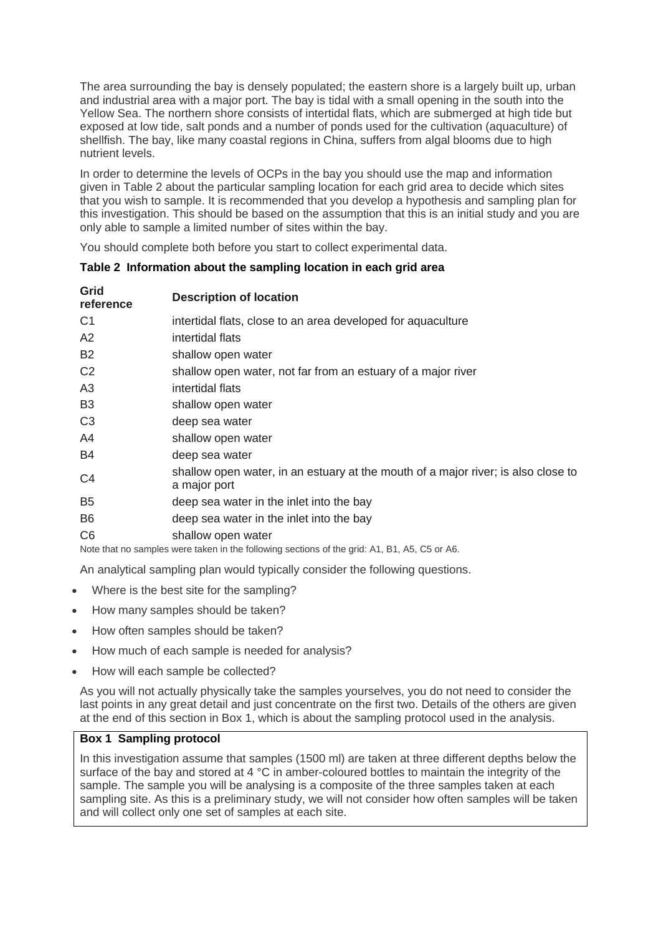The area surrounding the bay is densely populated; the eastern shore is a largely built up, urban and industrial area with a major port. The bay is tidal with a small opening in the south into the Yellow Sea. The northern shore consists of intertidal flats, which are submerged at high tide but exposed at low tide, salt ponds and a number of ponds used for the cultivation (aquaculture) of shellfish. The bay, like many coastal regions in China, suffers from algal blooms due to high nutrient levels.

In order to determine the levels of OCPs in the bay you should use the map and information given in Table 2 about the particular sampling location for each grid area to decide which sites that you wish to sample. It is recommended that you develop a hypothesis and sampling plan for this investigation. This should be based on the assumption that this is an initial study and you are only able to sample a limited number of sites within the bay.

You should complete both before you start to collect experimental data.

| Grid<br>reference                                                                            | <b>Description of location</b>                                                                    |  |  |
|----------------------------------------------------------------------------------------------|---------------------------------------------------------------------------------------------------|--|--|
| C <sub>1</sub>                                                                               | intertidal flats, close to an area developed for aquaculture                                      |  |  |
| A2                                                                                           | intertidal flats                                                                                  |  |  |
| <b>B2</b>                                                                                    | shallow open water                                                                                |  |  |
| C <sub>2</sub>                                                                               | shallow open water, not far from an estuary of a major river                                      |  |  |
| A <sub>3</sub>                                                                               | intertidal flats                                                                                  |  |  |
| B <sub>3</sub>                                                                               | shallow open water                                                                                |  |  |
| C <sub>3</sub>                                                                               | deep sea water                                                                                    |  |  |
| A4                                                                                           | shallow open water                                                                                |  |  |
| B <sub>4</sub>                                                                               | deep sea water                                                                                    |  |  |
| C <sub>4</sub>                                                                               | shallow open water, in an estuary at the mouth of a major river; is also close to<br>a major port |  |  |
| B <sub>5</sub>                                                                               | deep sea water in the inlet into the bay                                                          |  |  |
| B <sub>6</sub>                                                                               | deep sea water in the inlet into the bay                                                          |  |  |
| C <sub>6</sub>                                                                               | shallow open water                                                                                |  |  |
| Note that no samples were taken in the following sections of the grid: A1, B1, A5, C5 or A6. |                                                                                                   |  |  |

## **Table 2 Information about the sampling location in each grid area**

An analytical sampling plan would typically consider the following questions.

- Where is the best site for the sampling?
- How many samples should be taken?
- How often samples should be taken?
- How much of each sample is needed for analysis?
- How will each sample be collected?

As you will not actually physically take the samples yourselves, you do not need to consider the last points in any great detail and just concentrate on the first two. Details of the others are given at the end of this section in Box 1, which is about the sampling protocol used in the analysis.

#### **Box 1 Sampling protocol**

In this investigation assume that samples (1500 ml) are taken at three different depths below the surface of the bay and stored at 4 °C in amber-coloured bottles to maintain the integrity of the sample. The sample you will be analysing is a composite of the three samples taken at each sampling site. As this is a preliminary study, we will not consider how often samples will be taken and will collect only one set of samples at each site.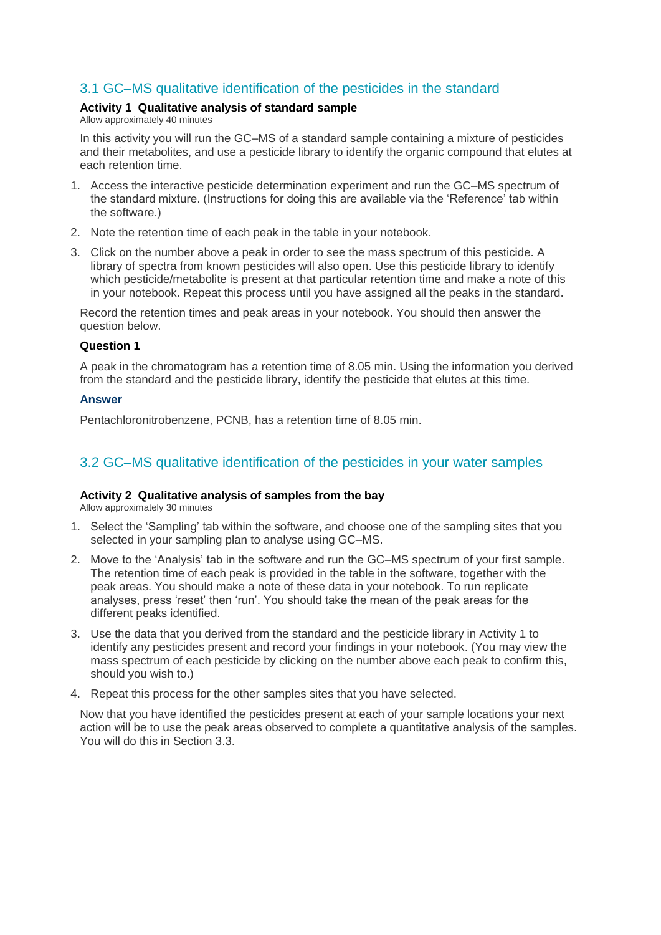# 3.1 GC–MS qualitative identification of the pesticides in the standard

#### **Activity 1 Qualitative analysis of standard sample**

Allow approximately 40 minutes

In this activity you will run the GC–MS of a standard sample containing a mixture of pesticides and their metabolites, and use a pesticide library to identify the organic compound that elutes at each retention time.

- 1. Access the interactive pesticide determination experiment and run the GC–MS spectrum of the standard mixture. (Instructions for doing this are available via the 'Reference' tab within the software.)
- 2. Note the retention time of each peak in the table in your notebook.
- 3. Click on the number above a peak in order to see the mass spectrum of this pesticide. A library of spectra from known pesticides will also open. Use this pesticide library to identify which pesticide/metabolite is present at that particular retention time and make a note of this in your notebook. Repeat this process until you have assigned all the peaks in the standard.

Record the retention times and peak areas in your notebook. You should then answer the question below.

#### **Question 1**

A peak in the chromatogram has a retention time of 8.05 min. Using the information you derived from the standard and the pesticide library, identify the pesticide that elutes at this time.

#### **Answer**

Pentachloronitrobenzene, PCNB, has a retention time of 8.05 min.

## 3.2 GC–MS qualitative identification of the pesticides in your water samples

#### **Activity 2 Qualitative analysis of samples from the bay**

Allow approximately 30 minutes

- 1. Select the 'Sampling' tab within the software, and choose one of the sampling sites that you selected in your sampling plan to analyse using GC–MS.
- 2. Move to the 'Analysis' tab in the software and run the GC–MS spectrum of your first sample. The retention time of each peak is provided in the table in the software, together with the peak areas. You should make a note of these data in your notebook. To run replicate analyses, press 'reset' then 'run'. You should take the mean of the peak areas for the different peaks identified.
- 3. Use the data that you derived from the standard and the pesticide library in Activity 1 to identify any pesticides present and record your findings in your notebook. (You may view the mass spectrum of each pesticide by clicking on the number above each peak to confirm this, should you wish to.)
- 4. Repeat this process for the other samples sites that you have selected.

Now that you have identified the pesticides present at each of your sample locations your next action will be to use the peak areas observed to complete a quantitative analysis of the samples. You will do this in Section 3.3.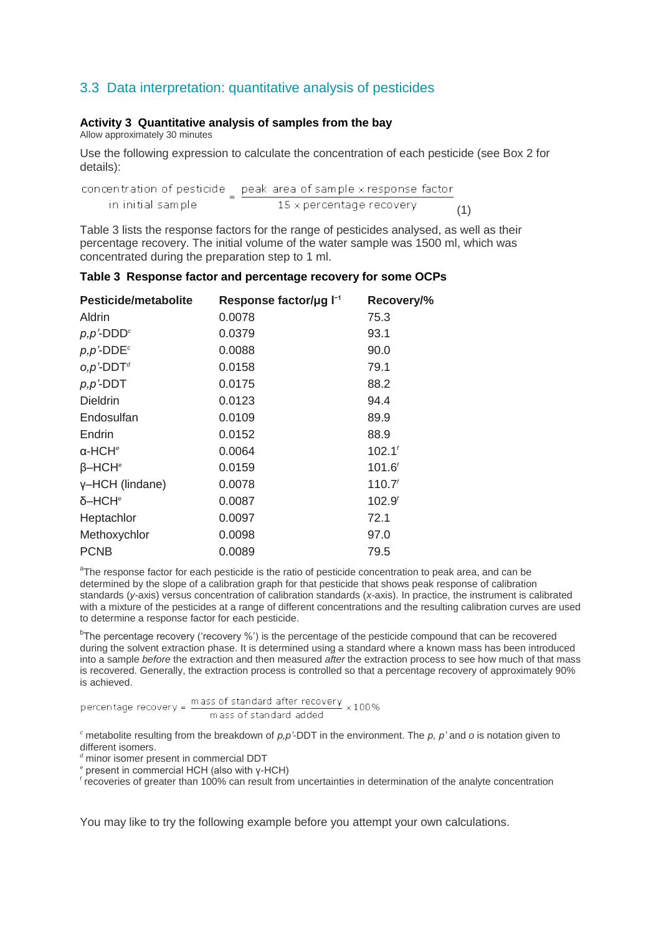## 3.3 Data interpretation: quantitative analysis of pesticides

#### **Activity 3 Quantitative analysis of samples from the bay**

Allow approximately 30 minutes

Use the following expression to calculate the concentration of each pesticide (see Box 2 for details):

| in initial sample. | $15\times$ percentage recovery | (1) |
|--------------------|--------------------------------|-----|

Table 3 lists the response factors for the range of pesticides analysed, as well as their percentage recovery. The initial volume of the water sample was 1500 ml, which was concentrated during the preparation step to 1 ml.

#### **Table 3 Response factor and percentage recovery for some OCPs**

| <b>Pesticide/metabolite</b>            | Response factor/µg l <sup>-1</sup> | Recovery/%         |
|----------------------------------------|------------------------------------|--------------------|
| Aldrin                                 | 0.0078                             | 75.3               |
| $p, p'$ -DDD <sup><math>c</math></sup> | 0.0379                             | 93.1               |
| $p, p$ '-DDE <sup>c</sup>              | 0.0088                             | 90.0               |
| $o, p'$ -DDT <sup>d</sup>              | 0.0158                             | 79.1               |
| $p, p'$ -DDT                           | 0.0175                             | 88.2               |
| <b>Dieldrin</b>                        | 0.0123                             | 94.4               |
| Endosulfan                             | 0.0109                             | 89.9               |
| Endrin                                 | 0.0152                             | 88.9               |
| $\alpha$ -HCH <sup>e</sup>             | 0.0064                             | 102.1 <sup>t</sup> |
| $\beta$ -HCH <sup>e</sup>              | 0.0159                             | 101.6 <sup>f</sup> |
| y-HCH (lindane)                        | 0.0078                             | 110.7 <sup>f</sup> |
| δ-HCH <sup>e</sup>                     | 0.0087                             | 102.9 <sup>6</sup> |
| Heptachlor                             | 0.0097                             | 72.1               |
| Methoxychlor                           | 0.0098                             | 97.0               |
| <b>PCNB</b>                            | 0.0089                             | 79.5               |

<sup>a</sup>The response factor for each pesticide is the ratio of pesticide concentration to peak area, and can be determined by the slope of a calibration graph for that pesticide that shows peak response of calibration standards (*y*-axis) versus concentration of calibration standards (*x*-axis). In practice, the instrument is calibrated with a mixture of the pesticides at a range of different concentrations and the resulting calibration curves are used to determine a response factor for each pesticide.

<sup>b</sup>The percentage recovery ('recovery %') is the percentage of the pesticide compound that can be recovered during the solvent extraction phase. It is determined using a standard where a known mass has been introduced into a sample *before* the extraction and then measured *after* the extraction process to see how much of that mass is recovered. Generally, the extraction process is controlled so that a percentage recovery of approximately 90% is achieved.

mass of standard added

*<sup>c</sup>* metabolite resulting from the breakdown of *p,p'*-DDT in the environment. The *p, p'* and *o* is notation given to different isomers.

*<sup>d</sup>* minor isomer present in commercial DDT

*e* present in commercial HCH (also with γ-HCH)

*f* recoveries of greater than 100% can result from uncertainties in determination of the analyte concentration

You may like to try the following example before you attempt your own calculations.